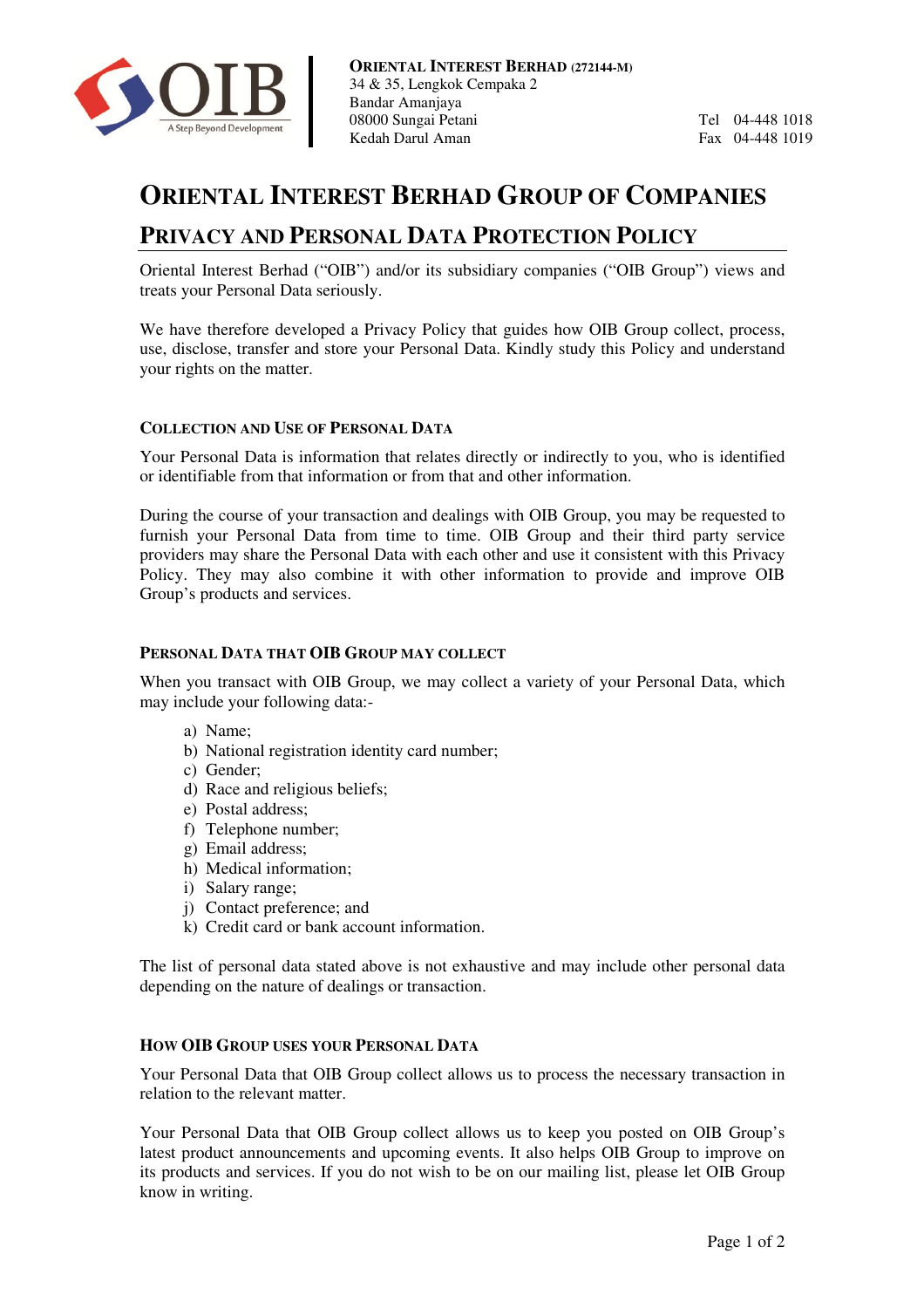

Tel 04-448 1018 Fax 04-448 1019

# **ORIENTAL INTER REST BERHAD GROUP OF COM MPANIES**

### **PRIVACY AND PERSONAL DATA PROTECTION POLICY**

Oriental Interest Berhad ("OIB") and/or its subsidiary companies ("OIB Group") views and treats your Personal Data seriously.

We have therefore developed a Privacy Policy that guides how OIB Group collect, process, use, disclose, transfer and store your Personal Data. Kindly study this Policy and understand your rights on the matter.

#### **COLLECTION AND USE OF P ERSONAL DATA**

Your Personal Data is information that relates directly or indirectly to you, who is identified or identifiable from that information or from that and other information. Your Personal Data is information that relates directly or indirectly to you, who is identified<br>or identifiable from that information or from that and other information.<br>During the course of your transaction and dealings w

furnish your Personal Data from time to time. OIB Group and their third party service providers may share the Personal Data with each other and use it consistent with this Privacy Policy. They may also combine it with other information to provide and improve OIB Group's products and services. , you may be requested to<br>their third party service<br>posistent with this Privacy<br>rovide and improve OIB

#### **PERSONAL DATA THAT OIB GROUP MAY COLLECT**

When you transact with OIB Group, we may collect a variety of your Personal Data, which may include your following data:-

- a) Name;
- b) National registration identity card number;
- c) Gender;
- d) Race and religious beliefs;
- e) Postal address;
- f) Telephone number;
- g) Email address;
- h) Medical information;
- i) Salary range;
- j) Contact preference; and
- k) Credit card or bank account information information.

The list of personal data stated above is not exhaustive and may include other personal data depending on the nature of dealings or transaction. , we may collect a variety of your Personal Data, which<br>ty card number;<br>ti card number;<br>and number;<br>ti information.<br>The sin of exhaustive and may include other personal data<br>or transaction.<br>SONAL DATA<br>collect allows us to

#### **HOW OIB GROUP USES YOUR PERSONAL DATA**

Your Personal Data that OIB Group collect allows us to process the necessary transaction in relation to the relevant matter.

relation to the relevant matter.<br>Your Personal Data that OIB Group collect allows us to keep you posted on latest product announcements and upcoming events. It also helps OIB Group to improve on its products and services. If you do not wish to be on our mailing list, please let OIB Group know in writing.